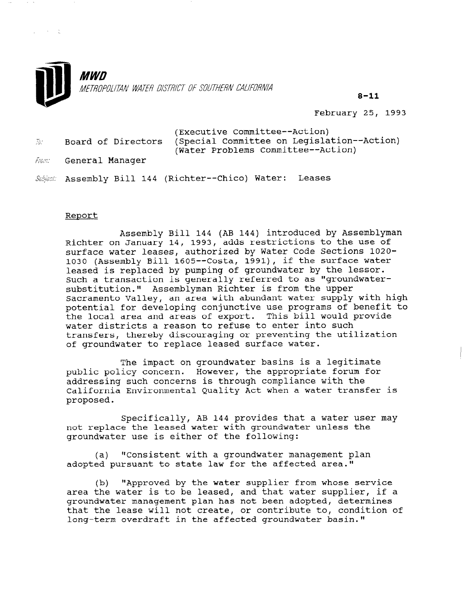

8-11

February 25, 1993

| -70.       | Board of Directors | (Executive Committee--Action)<br>(Special Committee on Legislation--Action)<br>(Water Problems Committee--Action) |
|------------|--------------------|-------------------------------------------------------------------------------------------------------------------|
| - Енгээг с | Conoral Managor    |                                                                                                                   |

*hum:* General Manager

 $\sim 10^{-10}$  M  $_{\odot}$ 

Subject: Assembly Bill 144 (Richter--Chico) Water: Leases

### Report

Assembly Bill 144 (AB 144) introduced by Assemblyman Richter on January 14, 1993, adds restrictions to the use of surface water leases, authorized by Water Code Sections 1020- SUIIACE WALEL IEASES, AUCHOLIZEU DY WALEL COUE DECLIONS 102 lusu (ASSEMDIY DIII 1009--Custa, 1991), it the surface wa Leased is replaced by pumping of groundwater-by-the-lesse such a transaction is generally referred to as "groundwatersubstitution." Assemblyman Richter is from the upper<br>Sacramento Valley, an area with abundant water supply with high potential for developing conjunction for developing continuity of the contractive use of the contractive to the contract to the contract to the contract to the contract to the contract to the contract to the contract to th potential for developing conjunctive use programs of benef. the local area and areas of export. This bill would provide water districts a reason to refuse to enter into such transfers, thereby discouraging or preventing the utilization<br>of groundwater to replace leased surface water.

The impact of groundwater basins is a legitimate basins in  $\mathcal{L}_\mathcal{A}$ public policians pound water basins is a legitimate public policy concern. However, the appropriate forum for addressing such concerns is through compliance with the California Environmental Ouality Act when a water transfer is proposed.

Specifically, AB 144 provides that a water user may not replace the leased water with groundwater unless the<br>groundwater use is either of the following:

(a) tlconsistent with a groundwater management  $\alpha$  groundwater management planned planned planned planned planned planned planned planned planned planned planned planned planned planned planned planned planned planned pl  $(a)$  "Consistent with a groundwater management plan adopted pursuant to state law for the affected area."

 $(b)$  "Approved by the water supplier from whose service area the water is to be leased, and that water supplier, if a groundwater management plan has not been adopted, determines that the lease will not create, or contribute to, condition of long-term overdraft in the affected groundwater basin."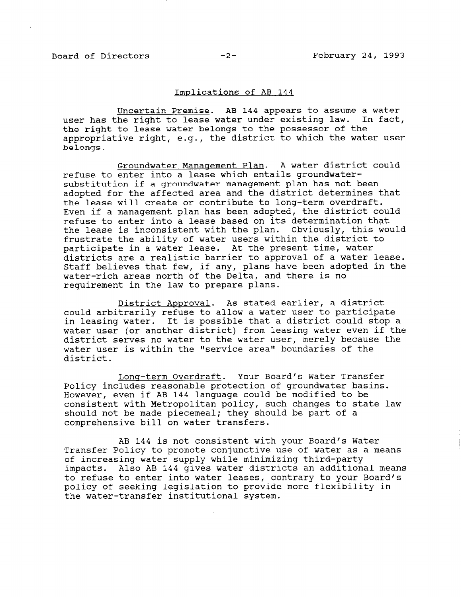$\Delta \sim 10^{11}$  mass  $\Delta \sim 10^{11}$ 

### Implications of AB 144

Uncertain Premise. AB 144 appears to assume a water user has the right to lease water under existing law. In fact, the right to lease water belongs to the possessor of the appropriative right, e.g., the district to which the water user belongs.

Groundwater Manasement Plan. A water district could refuse to enter into a lease which entails groundwatersubstitution if a groundwater management plan has not been adopted for the affected area and the district determines that the lease will create or contribute to long-term overdraft. Even if a management plan has been adopted, the district could refuse to enter into a lease based on its determination that the lease is inconsistent with the plan. Obviously, this would frustrate the ability of water users within the district to participate in a water lease. At the present time, water districts are a realistic barrier to approval of a water lease. Staff believes that few, if any, plans have been adopted in the water-rich areas north of the Delta, and there is no requirement in the law to prepare plans.

District Approval. As stated earlier, a district could arbitrarily refuse to allow a water user to participate in leasing water. It is possible that a district could stop a water user (or another district) from leasing water even if the district serves no water to the water user, merely because the water user is within the "service area" boundaries of the district.

Long-term Overdraft. Your Board's Water Transfer Policy includes reasonable protection of groundwater basins. However, even if AB 144 language could be modified to be consistent with Metropolitan policy, such changes to state law should not be made piecemeal; they should be part of a comprehensive bill on water transfers.

AB 144 is not consistent with your Board's Water Transfer Policy to promote conjunctive use of water as a means of increasing water supply while minimizing third-party impacts. Also AB 144 gives water districts an additional means the refuse to refuse the enter leases, contrary to your Board! policy of seeking legislation to provide more flexibility in policy of seeking legislation to provide more flexibility in the water-transfer institutional system.